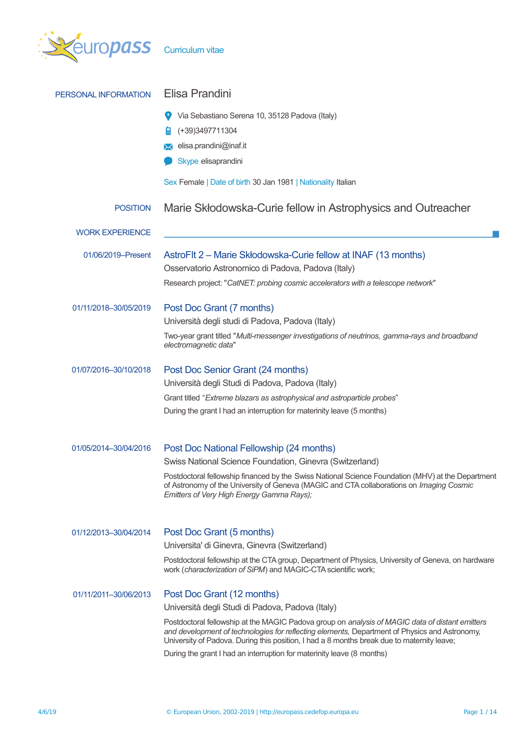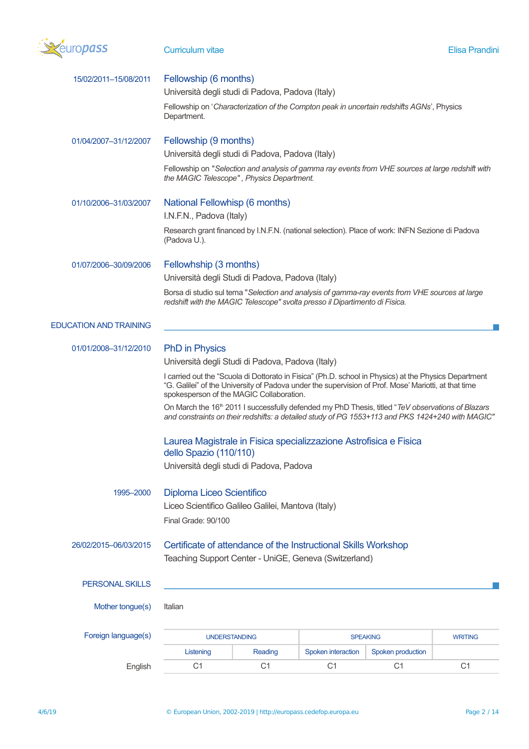

## **Curriculum vitae Elisa Prandini**

| 15/02/2011-15/08/2011         | Fellowship (6 months)<br>Università degli studi di Padova, Padova (Italy)                                                                                                                                                                                 |                |                    |                   |                |  |
|-------------------------------|-----------------------------------------------------------------------------------------------------------------------------------------------------------------------------------------------------------------------------------------------------------|----------------|--------------------|-------------------|----------------|--|
|                               | Fellowship on 'Characterization of the Compton peak in uncertain redshifts AGNs', Physics<br>Department.                                                                                                                                                  |                |                    |                   |                |  |
| 01/04/2007-31/12/2007         | Fellowship (9 months)                                                                                                                                                                                                                                     |                |                    |                   |                |  |
|                               | Università degli studi di Padova, Padova (Italy)                                                                                                                                                                                                          |                |                    |                   |                |  |
|                               | Fellowship on "Selection and analysis of gamma ray events from VHE sources at large redshift with<br>the MAGIC Telescope", Physics Department.                                                                                                            |                |                    |                   |                |  |
| 01/10/2006-31/03/2007         | National Fellowhisp (6 months)<br>I.N.F.N., Padova (Italy)                                                                                                                                                                                                |                |                    |                   |                |  |
|                               | Research grant financed by I.N.F.N. (national selection). Place of work: INFN Sezione di Padova<br>(Padova U.).                                                                                                                                           |                |                    |                   |                |  |
| 01/07/2006-30/09/2006         | Fellowhship (3 months)                                                                                                                                                                                                                                    |                |                    |                   |                |  |
|                               | Università degli Studi di Padova, Padova (Italy)                                                                                                                                                                                                          |                |                    |                   |                |  |
|                               | Borsa di studio sul tema "Selection and analysis of gamma-ray events from VHE sources at large<br>redshift with the MAGIC Telescope" svolta presso il Dipartimento di Fisica.                                                                             |                |                    |                   |                |  |
| <b>EDUCATION AND TRAINING</b> |                                                                                                                                                                                                                                                           |                |                    |                   |                |  |
| 01/01/2008-31/12/2010         | <b>PhD</b> in Physics                                                                                                                                                                                                                                     |                |                    |                   |                |  |
|                               | Università degli Studi di Padova, Padova (Italy)                                                                                                                                                                                                          |                |                    |                   |                |  |
|                               | I carried out the "Scuola di Dottorato in Fisica" (Ph.D. school in Physics) at the Physics Department<br>"G. Galilei" of the University of Padova under the supervision of Prof. Mose' Mariotti, at that time<br>spokesperson of the MAGIC Collaboration. |                |                    |                   |                |  |
|                               | On March the 16 <sup>th</sup> 2011 I successfully defended my PhD Thesis, titled "TeV observations of Blazars<br>and constraints on their redshifts: a detailed study of PG 1553+113 and PKS 1424+240 with MAGIC"                                         |                |                    |                   |                |  |
|                               | Laurea Magistrale in Fisica specializzazione Astrofisica e Fisica<br>dello Spazio (110/110)                                                                                                                                                               |                |                    |                   |                |  |
|                               | Università degli studi di Padova, Padova                                                                                                                                                                                                                  |                |                    |                   |                |  |
| 1995-2000                     | <b>Diploma Liceo Scientifico</b>                                                                                                                                                                                                                          |                |                    |                   |                |  |
|                               | Liceo Scientifico Galileo Galilei, Mantova (Italy)                                                                                                                                                                                                        |                |                    |                   |                |  |
|                               | Final Grade: 90/100                                                                                                                                                                                                                                       |                |                    |                   |                |  |
| 26/02/2015-06/03/2015         | Certificate of attendance of the Instructional Skills Workshop<br>Teaching Support Center - UniGE, Geneva (Switzerland)                                                                                                                                   |                |                    |                   |                |  |
| <b>PERSONAL SKILLS</b>        |                                                                                                                                                                                                                                                           |                |                    |                   |                |  |
|                               |                                                                                                                                                                                                                                                           |                |                    |                   |                |  |
| Mother tongue(s)              | Italian                                                                                                                                                                                                                                                   |                |                    |                   |                |  |
| Foreign language(s)           | <b>UNDERSTANDING</b>                                                                                                                                                                                                                                      |                | <b>SPEAKING</b>    |                   | <b>WRITING</b> |  |
|                               | Listening                                                                                                                                                                                                                                                 | Reading        | Spoken interaction | Spoken production |                |  |
| English                       | C <sub>1</sub>                                                                                                                                                                                                                                            | C <sub>1</sub> | C <sub>1</sub>     | C <sub>1</sub>    | C <sub>1</sub> |  |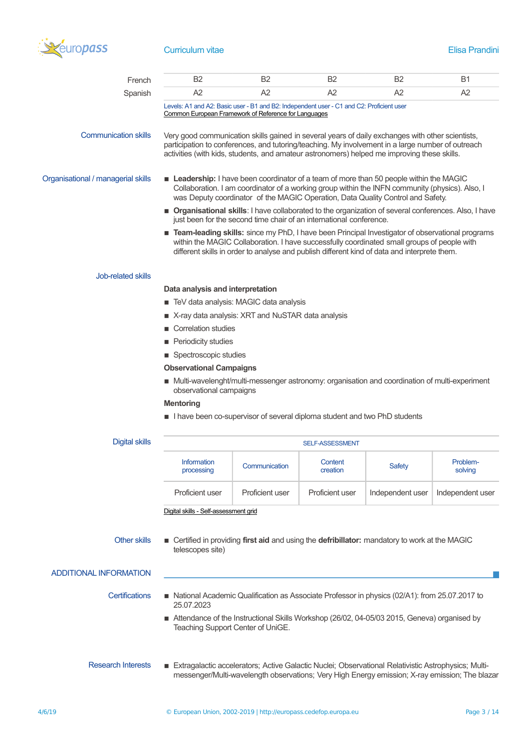

# **Curriculum vitae Elisa Prandini**

| French                             | B <sub>2</sub>                                                                                                                                                                                                                                                                                 | <b>B2</b>                         | <b>B2</b>           | B <sub>2</sub>                                                                                                                                                                                                                                                                                       | <b>B1</b>           |  |  |
|------------------------------------|------------------------------------------------------------------------------------------------------------------------------------------------------------------------------------------------------------------------------------------------------------------------------------------------|-----------------------------------|---------------------|------------------------------------------------------------------------------------------------------------------------------------------------------------------------------------------------------------------------------------------------------------------------------------------------------|---------------------|--|--|
| Spanish                            | A2                                                                                                                                                                                                                                                                                             | A2                                | A2                  | A2                                                                                                                                                                                                                                                                                                   | A2                  |  |  |
|                                    | Levels: A1 and A2: Basic user - B1 and B2: Independent user - C1 and C2: Proficient user<br>Common European Framework of Reference for Languages                                                                                                                                               |                                   |                     |                                                                                                                                                                                                                                                                                                      |                     |  |  |
| <b>Communication skills</b>        |                                                                                                                                                                                                                                                                                                |                                   |                     | Very good communication skills gained in several years of daily exchanges with other scientists,<br>participation to conferences, and tutoring/teaching. My involvement in a large number of outreach<br>activities (with kids, students, and amateur astronomers) helped me improving these skills. |                     |  |  |
| Organisational / managerial skills | Leadership: I have been coordinator of a team of more than 50 people within the MAGIC<br>Collaboration. I am coordinator of a working group within the INFN community (physics). Also, I<br>was Deputy coordinator of the MAGIC Operation, Data Quality Control and Safety.                    |                                   |                     |                                                                                                                                                                                                                                                                                                      |                     |  |  |
|                                    | ■ Organisational skills: I have collaborated to the organization of several conferences. Also, I have<br>just been for the second time chair of an international conference.                                                                                                                   |                                   |                     |                                                                                                                                                                                                                                                                                                      |                     |  |  |
|                                    | Team-leading skills: since my PhD, I have been Principal Investigator of observational programs<br>within the MAGIC Collaboration. I have successfully coordinated small groups of people with<br>different skills in order to analyse and publish different kind of data and interprete them. |                                   |                     |                                                                                                                                                                                                                                                                                                      |                     |  |  |
| Job-related skills                 |                                                                                                                                                                                                                                                                                                |                                   |                     |                                                                                                                                                                                                                                                                                                      |                     |  |  |
|                                    | Data analysis and interpretation                                                                                                                                                                                                                                                               |                                   |                     |                                                                                                                                                                                                                                                                                                      |                     |  |  |
|                                    | ■ TeV data analysis: MAGIC data analysis                                                                                                                                                                                                                                                       |                                   |                     |                                                                                                                                                                                                                                                                                                      |                     |  |  |
|                                    | X-ray data analysis: XRT and NuSTAR data analysis                                                                                                                                                                                                                                              |                                   |                     |                                                                                                                                                                                                                                                                                                      |                     |  |  |
|                                    | Correlation studies                                                                                                                                                                                                                                                                            |                                   |                     |                                                                                                                                                                                                                                                                                                      |                     |  |  |
|                                    | Periodicity studies                                                                                                                                                                                                                                                                            |                                   |                     |                                                                                                                                                                                                                                                                                                      |                     |  |  |
|                                    | ■ Spectroscopic studies                                                                                                                                                                                                                                                                        |                                   |                     |                                                                                                                                                                                                                                                                                                      |                     |  |  |
|                                    | <b>Observational Campaigns</b>                                                                                                                                                                                                                                                                 |                                   |                     |                                                                                                                                                                                                                                                                                                      |                     |  |  |
|                                    | ■ Multi-wavelenght/multi-messenger astronomy: organisation and coordination of multi-experiment                                                                                                                                                                                                |                                   |                     |                                                                                                                                                                                                                                                                                                      |                     |  |  |
|                                    | observational campaigns                                                                                                                                                                                                                                                                        |                                   |                     |                                                                                                                                                                                                                                                                                                      |                     |  |  |
|                                    | <b>Mentoring</b>                                                                                                                                                                                                                                                                               |                                   |                     |                                                                                                                                                                                                                                                                                                      |                     |  |  |
|                                    | I have been co-supervisor of several diploma student and two PhD students                                                                                                                                                                                                                      |                                   |                     |                                                                                                                                                                                                                                                                                                      |                     |  |  |
| <b>Digital skills</b>              | <b>SELF-ASSESSMENT</b>                                                                                                                                                                                                                                                                         |                                   |                     |                                                                                                                                                                                                                                                                                                      |                     |  |  |
|                                    | Information<br>processing                                                                                                                                                                                                                                                                      | Communication                     | Content<br>creation | <b>Safety</b>                                                                                                                                                                                                                                                                                        | Problem-<br>solving |  |  |
|                                    | Proficient user                                                                                                                                                                                                                                                                                | Proficient user                   | Proficient user     | Independent user                                                                                                                                                                                                                                                                                     | Independent user    |  |  |
|                                    | Digital skills - Self-assessment grid                                                                                                                                                                                                                                                          |                                   |                     |                                                                                                                                                                                                                                                                                                      |                     |  |  |
|                                    |                                                                                                                                                                                                                                                                                                |                                   |                     |                                                                                                                                                                                                                                                                                                      |                     |  |  |
| <b>Other skills</b>                | telescopes site)                                                                                                                                                                                                                                                                               |                                   |                     | ■ Certified in providing first aid and using the defribillator: mandatory to work at the MAGIC                                                                                                                                                                                                       |                     |  |  |
| <b>ADDITIONAL INFORMATION</b>      |                                                                                                                                                                                                                                                                                                |                                   |                     |                                                                                                                                                                                                                                                                                                      |                     |  |  |
| <b>Certifications</b>              | National Academic Qualification as Associate Professor in physics (02/A1): from 25.07.2017 to<br>25.07.2023                                                                                                                                                                                    |                                   |                     |                                                                                                                                                                                                                                                                                                      |                     |  |  |
|                                    |                                                                                                                                                                                                                                                                                                | Teaching Support Center of UniGE. |                     | Attendance of the Instructional Skills Workshop (26/02, 04-05/03 2015, Geneva) organised by                                                                                                                                                                                                          |                     |  |  |
| <b>Research Interests</b>          |                                                                                                                                                                                                                                                                                                |                                   |                     | Extragalactic accelerators; Active Galactic Nuclei; Observational Relativistic Astrophysics; Multi-<br>messenger/Multi-wavelength observations; Very High Energy emission; X-ray emission; The blazar                                                                                                |                     |  |  |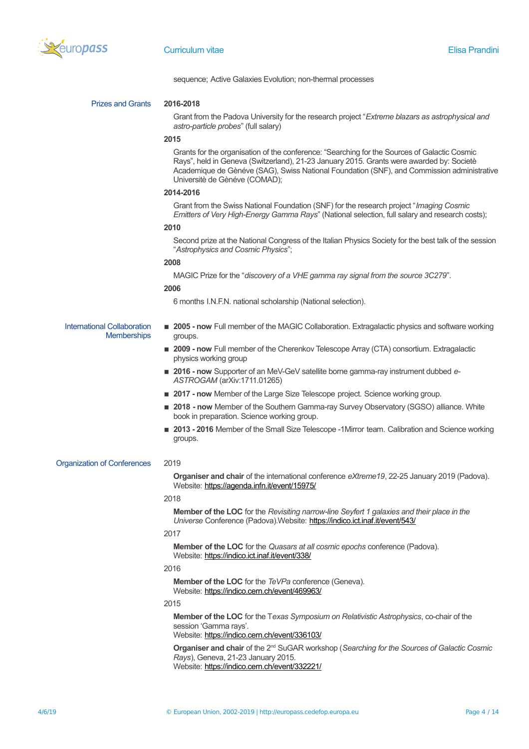

sequence; Active Galaxies Evolution; non-thermal processes

### Prizes and Grants **2016-2018**

Grant from the Padova University for the research project "*Extreme blazars as astrophysical and astro-particle probes*" (full salary)

#### **2015**

Grants for the organisation of the conference: "Searching for the Sources of Galactic Cosmic Rays", held in Geneva (Switzerland), 21-23 January 2015. Grants were awarded by: Societè Academique de Gènéve (SAG), Swiss National Foundation (SNF), and Commission administrative Universitè de Gènéve (COMAD);

### **2014-2016**

Grant from the Swiss National Foundation (SNF) for the research project "*Imaging Cosmic Emitters of Very High-Energy Gamma Rays*" (National selection, full salary and research costs);

### **2010**

Second prize at the National Congress of the Italian Physics Society for the best talk of the session "*Astrophysics and Cosmic Physics*";

### **2008**

MAGIC Prize for the "*discovery of a VHE gamma ray signal from the source 3C279*".

### **2006**

6 months I.N.F.N. national scholarship (National selection).

### International Collaboration **Memberships**

**2005 - now** Full member of the MAGIC Collaboration. Extragalactic physics and software working groups.

- **2009 now** Full member of the Cherenkov Telescope Array (CTA) consortium. Extragalactic physics working group
- **2016 now** Supporter of an MeV-GeV satellite borne gamma-ray instrument dubbed *e*-*ASTROGAM* (arXiv:1711.01265)
- **2017 now** Member of the Large Size Telescope project. Science working group.
- **2018 now** Member of the Southern Gamma-ray Survey Observatory (SGSO) alliance. White book in preparation. Science working group.
- 2013 2016 Member of the Small Size Telescope -1Mirror team. Calibration and Science working groups.

### Organization of Conferences 2019

**Organiser and chair** of the international conference *eXtreme19*, 22-25 January 2019 (Padova). Website: <https://agenda.infn.it/event/15975/>

#### 2018

**Member of the LOC** for the *Revisiting narrow-line Seyfert 1 galaxies and their place in the Universe* Conference (Padova).Website: <https://indico.ict.inaf.it/event/543/>

### 2017

**Member of the LOC** for the *Quasars at all cosmic epochs* conference (Padova). Website: <https://indico.ict.inaf.it/event/338/>

#### 2016

**Member of the LOC** for the *TeVPa* conference (Geneva). Website: <https://indico.cern.ch/event/469963/>

#### 2015

**Member of the LOC** for the T*exas Symposium on Relativistic Astrophysics*, co-chair of the session 'Gamma rays'.

Website: <https://indico.cern.ch/event/336103/>

**Organiser and chair** of the 2nd SuGAR workshop (*Searching for the Sources of Galactic Cosmic Rays*), Geneva, 21-23 January 2015.

Website: <https://indico.cern.ch/event/332221/>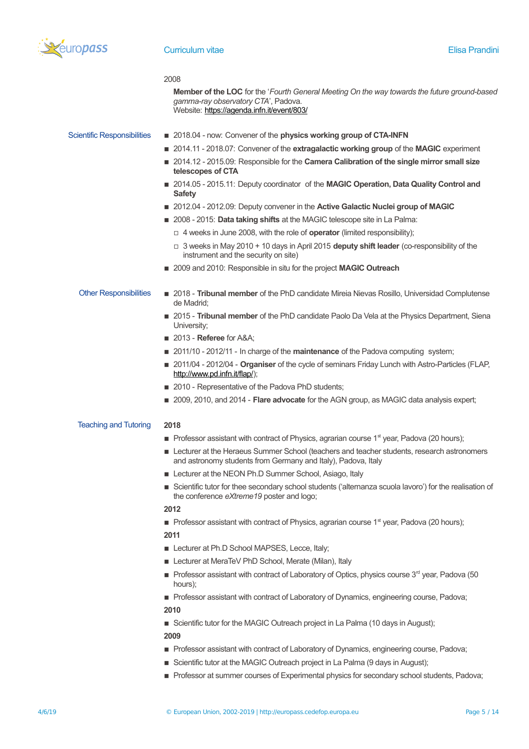

|                                    | 2008<br><b>Member of the LOC</b> for the 'Fourth General Meeting On the way towards the future ground-based<br>gamma-ray observatory CTA', Padova.<br>Website: https://agenda.infn.it/event/803/ |
|------------------------------------|--------------------------------------------------------------------------------------------------------------------------------------------------------------------------------------------------|
| <b>Scientific Responsibilities</b> | 2018.04 - now: Convener of the physics working group of CTA-INFN<br>■ 2014.11 - 2018.07: Convener of the extragalactic working group of the MAGIC experiment                                     |
|                                    | 2014.12 - 2015.09: Responsible for the Camera Calibration of the single mirror small size<br>telescopes of CTA                                                                                   |
|                                    | ■ 2014.05 - 2015.11: Deputy coordinator of the MAGIC Operation, Data Quality Control and<br><b>Safety</b>                                                                                        |
|                                    | ■ 2012.04 - 2012.09: Deputy convener in the Active Galactic Nuclei group of MAGIC                                                                                                                |
|                                    | 2008 - 2015: Data taking shifts at the MAGIC telescope site in La Palma:                                                                                                                         |
|                                    | $\Box$ 4 weeks in June 2008, with the role of <b>operator</b> (limited responsibility);                                                                                                          |
|                                    | $\Box$ 3 weeks in May 2010 + 10 days in April 2015 deputy shift leader (co-responsibility of the<br>instrument and the security on site)                                                         |
|                                    | 2009 and 2010: Responsible in situ for the project <b>MAGIC Outreach</b>                                                                                                                         |
| <b>Other Responsibilities</b>      | 2018 - Tribunal member of the PhD candidate Mireia Nievas Rosillo, Universidad Complutense<br>de Madrid;                                                                                         |
|                                    | 2015 - Tribunal member of the PhD candidate Paolo Da Vela at the Physics Department, Siena<br>University;                                                                                        |
|                                    | $\blacksquare$ 2013 - Referee for A&A                                                                                                                                                            |
|                                    | 2011/10 - 2012/11 - In charge of the maintenance of the Padova computing system;                                                                                                                 |
|                                    | ■ 2011/04 - 2012/04 - Organiser of the cycle of seminars Friday Lunch with Astro-Particles (FLAP,<br>http://www.pd.infn.it/flap/);                                                               |
|                                    | ■ 2010 - Representative of the Padova PhD students;                                                                                                                                              |
|                                    | 2009, 2010, and 2014 - Flare advocate for the AGN group, as MAGIC data analysis expert;                                                                                                          |
| <b>Teaching and Tutoring</b>       | 2018                                                                                                                                                                                             |
|                                    | <b>Professor assistant with contract of Physics, agrarian course 1<sup>st</sup> year, Padova (20 hours);</b>                                                                                     |
|                                    | Lecturer at the Heraeus Summer School (teachers and teacher students, research astronomers<br>and astronomy students from Germany and Italy), Padova, Italy                                      |
|                                    | Lecturer at the NEON Ph.D Summer School, Asiago, Italy                                                                                                                                           |
|                                    | Scientific tutor for thee secondary school students ('alternanza scuola lavoro') for the realisation of<br>the conference eXtreme19 poster and logo;                                             |
|                                    | 2012                                                                                                                                                                                             |
|                                    | ■ Professor assistant with contract of Physics, agrarian course 1 <sup>st</sup> year, Padova (20 hours);                                                                                         |
|                                    | 2011                                                                                                                                                                                             |
|                                    | Lecturer at Ph.D School MAPSES, Lecce, Italy;                                                                                                                                                    |
|                                    | Lecturer at MeraTeV PhD School, Merate (Milan), Italy                                                                                                                                            |

- $\blacksquare$  Professor assistant with contract of Laboratory of Optics, physics course 3<sup>rd</sup> year, Padova (50 hours);
- **Professor assistant with contract of Laboratory of Dynamics, engineering course, Padova;**
- **2010**

■ Scientific tutor for the MAGIC Outreach project in La Palma (10 days in August);

- **2009**
- Professor assistant with contract of Laboratory of Dynamics, engineering course, Padova;
- **EXECTED Scientific tutor at the MAGIC Outreach project in La Palma (9 days in August);**
- **Professor at summer courses of Experimental physics for secondary school students, Padova;**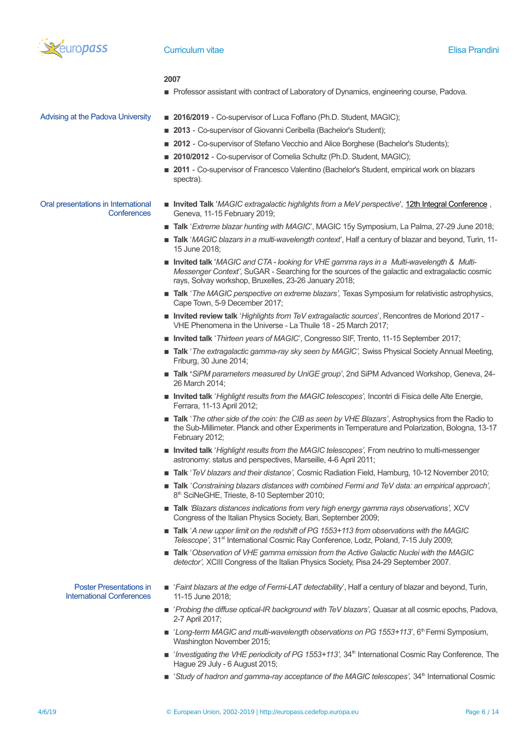

#### **2007**

**Professor assistant with contract of Laboratory of Dynamics, engineering course, Padova.** 

- Advising at the Padova University **2016/2019** Co-supervisor of Luca Foffano (Ph.D. Student, MAGIC);
	- 2013 Co-supervisor of Giovanni Ceribella (Bachelor's Student);
	- 2012 Co-supervisor of Stefano Vecchio and Alice Borghese (Bachelor's Students);
	- 2010/2012 Co-supervisor of Cornelia Schultz (Ph.D. Student, MAGIC);
	- **2011** Co-supervisor of Francesco Valentino (Bachelor's Student, empirical work on blazars spectra).

#### Oral presentations in International **Conferences** ■ Invited Talk '*MAGIC extragalactic highlights from a MeV perspective*', [12th Integral Conference](https://www.astro.unige.ch/integral2019/conference-program), Geneva, 11-15 February 2019;

- **Talk** '*Extreme blazar hunting with MAGIC*', MAGIC 15y Symposium, La Palma, 27-29 June 2018;
- **Talk** '*MAGIC blazars in a multi-wavelength context*', Half a century of blazar and beyond, Turin, 11- 15 June 2018;
- Invited talk '*MAGIC* and CTA looking for VHE gamma rays in a Multi-wavelength & Multi-*Messenger Context'*, SuGAR - Searching for the sources of the galactic and extragalactic cosmic rays, Solvay workshop, Bruxelles, 23-26 January 2018;
- **Talk** '*The MAGIC perspective on extreme blazars'*, Texas Symposium for relativistic astrophysics, Cape Town, 5-9 December 2017;
- **Invited review talk** '*Highlights from TeV extragalactic sources*', Rencontres de Moriond 2017 VHE Phenomena in the Universe - La Thuile 18 - 25 March 2017;
- **Invited talk** '*Thirteen years of MAGIC*', Congresso SIF, Trento, 11-15 September 2017;
- **Talk** '*The extragalactic gamma-ray sky seen by MAGIC'*, Swiss Physical Society Annual Meeting, Friburg, 30 June 2014;
- **Talk '***SiPM parameters measured by UniGE group'*, 2nd SiPM Advanced Workshop, Geneva, 24- 26 March 2014;
- Invited talk '*Highlight results from the MAGIC telescopes'*, Incontri di Fisica delle Alte Energie, Ferrara, 11-13 April 2012;
- **Talk** '*The other side of the coin: the CIB as seen by VHE Blazars'*, Astrophysics from the Radio to the Sub-Millimeter. Planck and other Experiments in Temperature and Polarization, Bologna, 13-17 February 2012;
- Invited talk '*Highlight results from the MAGIC telescopes'*, From neutrino to multi-messenger astronomy: status and perspectives, Marseille, 4-6 April 2011;
- **Talk** '*TeV blazars and their distance'*, Cosmic Radiation Field, Hamburg, 10-12 November 2010;
- **Talk** '*Constraining blazars distances with combined Fermi and TeV data: an empirical approach'*, 8<sup>th</sup> SciNeGHE, Trieste, 8-10 September 2010;
- **Talk** *'Blazars distances indications from very high energy gamma rays observations', XCV* Congress of the Italian Physics Society, Bari, September 2009;
- **Talk** '*A new upper limit on the redshift of PG 1553+113 from observations with the MAGIC* Telescope', 31<sup>st</sup> International Cosmic Ray Conference, Lodz, Poland, 7-15 July 2009;
- **Talk** '*Observation of VHE gamma emission from the Active Galactic Nuclei with the MAGIC detector',* XCIII Congress of the Italian Physics Society, Pisa 24-29 September 2007.

Poster Presentations in International Conferences

- '*Faint blazars at the edge of Fermi-LAT detectability*', Half a century of blazar and beyond, Turin, 11-15 June 2018;
- '*Probing the diffuse optical-IR background with TeV blazars'*, Quasar at all cosmic epochs, Padova, 2-7 April 2017;
- '*Long-term MAGIC and multi-wavelength observations on PG 1553+113*', 6<sup>th</sup> Fermi Symposium, Washington November 2015;
- '*Investigating the VHE periodicity of PG 1553+113', 34<sup>th</sup> International Cosmic Ray Conference. The* Hague 29 July - 6 August 2015;
- '*Study of hadron and gamma-ray acceptance of the MAGIC telescopes', 34<sup>th</sup> International Cosmic*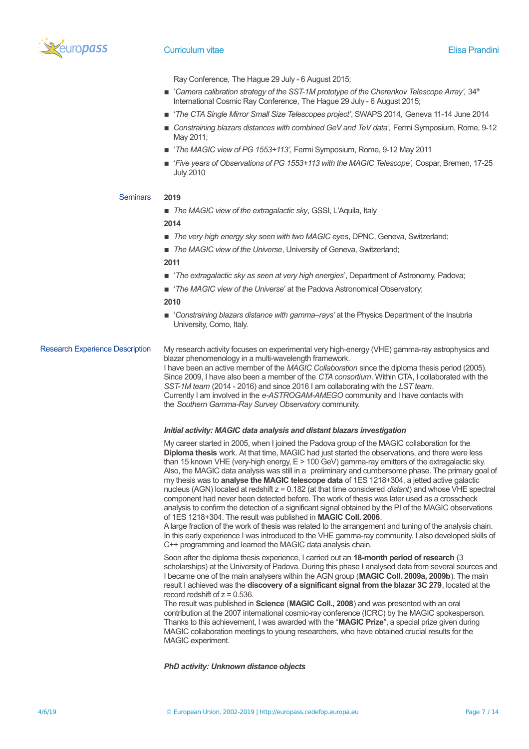

Ray Conference*,* The Hague 29 July - 6 August 2015;

- 'Camera calibration strategy of the SST-1M prototype of the Cherenkov Telescope Array', 34<sup>th</sup> International Cosmic Ray Conference*,* The Hague 29 July - 6 August 2015;
- '*The CTA Single Mirror Small Size Telescopes project'*, SWAPS 2014, Geneva 11-14 June 2014
- *Constraining blazars distances with combined GeV and TeV data',* Fermi Symposium, Rome, 9-12 May 2011;
- '*The MAGIC view of PG 1553+113'*, Fermi Symposium, Rome, 9-12 May 2011
- '*Five years of Observations of PG 1553+113 with the MAGIC Telescope',* Cospar, Bremen, 17-25 July 2010

### Seminars **2019**

■ *The MAGIC view of the extragalactic sky*, GSSI, L'Aquila, Italy

**2014**

- **The very high energy sky seen with two MAGIC eyes, DPNC, Geneva, Switzerland;**
- *The MAGIC view of the Universe*, University of Geneva, Switzerland:

**2011**

- **The extragalactic sky as seen at very high energies', Department of Astronomy, Padova;**
- '*The MAGIC view of the Universe*' at the Padova Astronomical Observatory;

#### **2010**

■ 'Constraining blazars distance with gamma-rays' at the Physics Department of the Insubria University, Como, Italy.

### Research Experience Description My research activity focuses on experimental very high-energy (VHE) gamma-ray astrophysics and blazar phenomenology in a multi-wavelength framework.

I have been an active member of the *MAGIC Collaboration* since the diploma thesis period (2005). Since 2009, I have also been a member of the *CTA consortium*. Within CTA, I collaborated with the *SST-1M team* (2014 - 2016) and since 2016 I am collaborating with the *LST team*. Currently I am involved in the *e-ASTROGAM-AMEGO* community and I have contacts with the *Southern Gamma-Ray Survey Observatory* community.

#### *Initial activity: MAGIC data analysis and distant blazars investigation*

My career started in 2005, when I joined the Padova group of the MAGIC collaboration for the **Diploma thesis** work. At that time, MAGIC had just started the observations, and there were less than 15 known VHE (very-high energy, E > 100 GeV) gamma-ray emitters of the extragalactic sky. Also, the MAGIC data analysis was still in a preliminary and cumbersome phase. The primary goal of my thesis was to **analyse the MAGIC telescope data** of 1ES 1218+304, a jetted active galactic nucleus (AGN) located at redshift z = 0.182 (at that time considered *distant*) and whose VHE spectral component had never been detected before. The work of thesis was later used as a crosscheck analysis to confirm the detection of a significant signal obtained by the PI of the MAGIC observations of 1ES 1218+304. The result was published in **MAGIC Coll. 2006**.

A large fraction of the work of thesis was related to the arrangement and tuning of the analysis chain. In this early experience I was introduced to the VHE gamma-ray community. I also developed skills of C++ programming and learned the MAGIC data analysis chain.

Soon after the diploma thesis experience, I carried out an **18-month period of research** (3 scholarships) at the University of Padova. During this phase I analysed data from several sources and I became one of the main analysers within the AGN group (**MAGIC Coll. 2009a, 2009b**). The main result I achieved was the **discovery of a significant signal from the blazar 3C 279**, located at the record redshift of  $z = 0.536$ .

The result was published in **Science** (**MAGIC Coll., 2008**) and was presented with an oral contribution at the 2007 international cosmic-ray conference (ICRC) by the MAGIC spokesperson. Thanks to this achievement, I was awarded with the "**MAGIC Prize**", a special prize given during MAGIC collaboration meetings to young researchers, who have obtained crucial results for the MAGIC experiment.

*PhD activity: Unknown distance objects*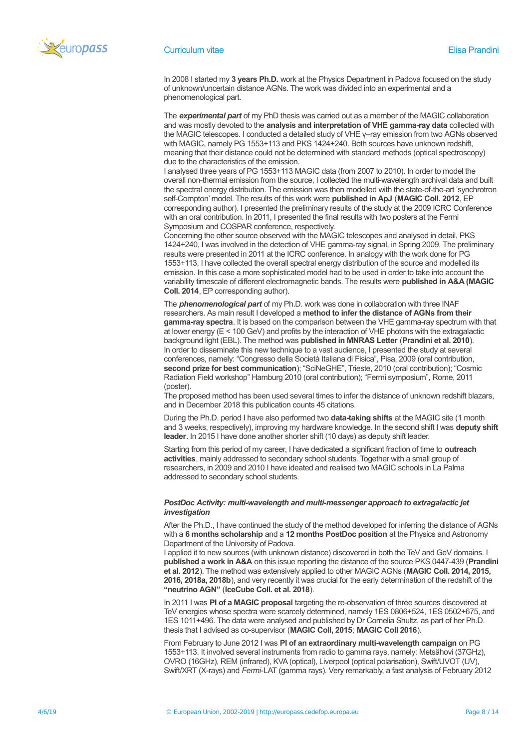

In 2008 I started my **3 years Ph.D.** work at the Physics Department in Padova focused on the study of unknown/uncertain distance AGNs. The work was divided into an experimental and a phenomenological part.

The *experimental part* of my PhD thesis was carried out as a member of the MAGIC collaboration and was mostly devoted to the **analysis and interpretation of VHE gamma-ray data** collected with the MAGIC telescopes. I conducted a detailed study of VHE γ–ray emission from two AGNs observed with MAGIC, namely PG 1553+113 and PKS 1424+240. Both sources have unknown redshift, meaning that their distance could not be determined with standard methods (optical spectroscopy) due to the characteristics of the emission.

I analysed three years of PG 1553+113 MAGIC data (from 2007 to 2010). In order to model the overall non-thermal emission from the source, I collected the multi-wavelength archival data and built the spectral energy distribution. The emission was then modelled with the state-of-the-art 'synchrotron self-Compton' model. The results of this work were **published in ApJ** (**MAGIC Coll. 2012**, EP corresponding author). I presented the preliminary results of the study at the 2009 ICRC Conference with an oral contribution. In 2011, I presented the final results with two posters at the Fermi Symposium and COSPAR conference, respectively.

Concerning the other source observed with the MAGIC telescopes and analysed in detail, PKS 1424+240, I was involved in the detection of VHE gamma-ray signal, in Spring 2009. The preliminary results were presented in 2011 at the ICRC conference. In analogy with the work done for PG 1553+113, I have collected the overall spectral energy distribution of the source and modelled its emission. In this case a more sophisticated model had to be used in order to take into account the variability timescale of different electromagnetic bands. The results were **published in A&A (MAGIC Coll. 2014**, EP corresponding author).

The *phenomenological part* of my Ph.D. work was done in collaboration with three INAF researchers. As main result I developed a **method to infer the distance of AGNs from their gamma-ray spectra**. It is based on the comparison between the VHE gamma-ray spectrum with that at lower energy (E < 100 GeV) and profits by the interaction of VHE photons with the extragalactic background light (EBL). The method was **published in MNRAS Letter** (**Prandini et al. 2010**). In order to disseminate this new technique to a vast audience, I presented the study at several conferences, namely: "Congresso della Società Italiana di Fisica", Pisa, 2009 (oral contribution, **second prize for best communication**); "SciNeGHE", Trieste, 2010 (oral contribution); "Cosmic Radiation Field workshop" Hamburg 2010 (oral contribution); "Fermi symposium", Rome, 2011 (poster).

The proposed method has been used several times to infer the distance of unknown redshift blazars, and in December 2018 this publication counts 45 citations.

During the Ph.D. period I have also performed two **data-taking shifts** at the MAGIC site (1 month and 3 weeks, respectively), improving my hardware knowledge. In the second shift I was **deputy shift leader**. In 2015 I have done another shorter shift (10 days) as deputy shift leader.

Starting from this period of my career, I have dedicated a significant fraction of time to **outreach activities**, mainly addressed to secondary school students. Together with a small group of researchers, in 2009 and 2010 I have ideated and realised two MAGIC schools in La Palma addressed to secondary school students.

### *PostDoc Activity: multi-wavelength and multi-messenger approach to extragalactic jet investigation*

After the Ph.D., I have continued the study of the method developed for inferring the distance of AGNs with a **6 months scholarship** and a **12 months PostDoc position** at the Physics and Astronomy Department of the University of Padova.

I applied it to new sources (with unknown distance) discovered in both the TeV and GeV domains. I **published a work in A&A** on this issue reporting the distance of the source PKS 0447-439 (**Prandini et al. 2012**). The method was extensively applied to other MAGIC AGNs (**MAGIC Coll. 2014, 2015, 2016, 2018a, 2018b**), and very recently it was crucial for the early determination of the redshift of the **"neutrino AGN"** (**IceCube Coll. et al. 2018**).

In 2011 I was **PI of a MAGIC proposal** targeting the re-observation of three sources discovered at TeV energies whose spectra were scarcely determined, namely 1ES 0806+524, 1ES 0502+675, and 1ES 1011+496. The data were analysed and published by Dr Cornelia Shultz, as part of her Ph.D. thesis that I advised as co-supervisor (**MAGIC Coll, 2015**; **MAGIC Coll 2016**).

From February to June 2012 I was **PI of an extraordinary multi-wavelength campaign** on PG 1553+113. It involved several instruments from radio to gamma rays, namely: Metsähovi (37GHz), OVRO (16GHz), REM (infrared), KVA (optical), Liverpool (optical polarisation), Swift/UVOT (UV), Swift/XRT (X-rays) and *Fermi-*LAT (gamma rays). Very remarkably, a fast analysis of February 2012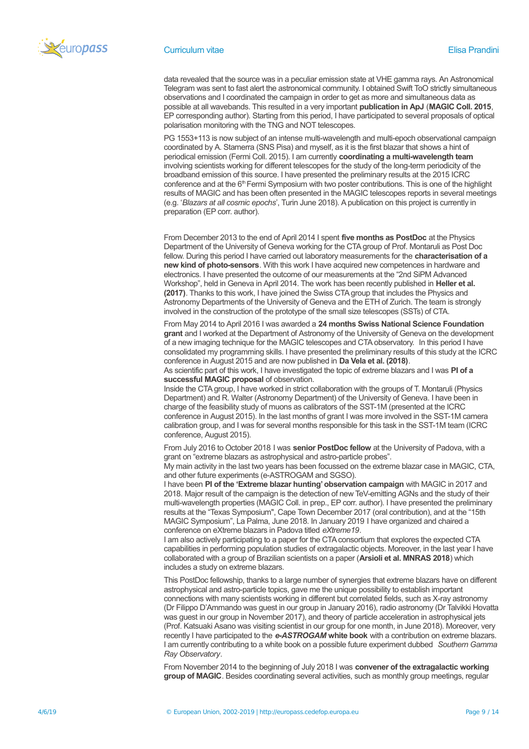

#### **Curriculum vitae Elisa Prandini** Curriculum vitae Elisa Prandini Curriculum vitae Elisa Prandini

data revealed that the source was in a peculiar emission state at VHE gamma rays. An Astronomical Telegram was sent to fast alert the astronomical community. I obtained Swift ToO strictly simultaneous observations and I coordinated the campaign in order to get as more and simultaneous data as possible at all wavebands. This resulted in a very important **publication in ApJ** (**MAGIC Coll. 2015**, EP corresponding author). Starting from this period, I have participated to several proposals of optical polarisation monitoring with the TNG and NOT telescopes.

PG 1553+113 is now subject of an intense multi-wavelength and multi-epoch observational campaign coordinated by A. Stamerra (SNS Pisa) and myself, as it is the first blazar that shows a hint of periodical emission (Fermi Coll. 2015). I am currently **coordinating a multi-wavelength team** involving scientists working for different telescopes for the study of the long-term periodicity of the broadband emission of this source. I have presented the preliminary results at the 2015 ICRC conference and at the 6<sup>th</sup> Fermi Symposium with two poster contributions. This is one of the highlight results of MAGIC and has been often presented in the MAGIC telescopes reports in several meetings (e.g. '*Blazars at all cosmic epochs*', Turin June 2018). A publication on this project is currently in preparation (EP corr. author).

From December 2013 to the end of April 2014 I spent **five months as PostDoc** at the Physics Department of the University of Geneva working for the CTA group of Prof. Montaruli as Post Doc fellow. During this period I have carried out laboratory measurements for the **characterisation of a new kind of photo-sensors**. With this work I have acquired new competences in hardware and electronics. I have presented the outcome of our measurements at the "2nd SiPM Advanced Workshop", held in Geneva in April 2014. The work has been recently published in **Heller et al. (2017)**. Thanks to this work, I have joined the Swiss CTA group that includes the Physics and Astronomy Departments of the University of Geneva and the ETH of Zurich. The team is strongly involved in the construction of the prototype of the small size telescopes (SSTs) of CTA.

From May 2014 to April 2016 I was awarded a **24 months Swiss National Science Foundation grant** and I worked at the Department of Astronomy of the University of Geneva on the development of a new imaging technique for the MAGIC telescopes and CTA observatory. In this period I have consolidated my programming skills. I have presented the preliminary results of this study at the ICRC conference in August 2015 and are now published in **Da Vela et al. (2018)**.

As scientific part of this work, I have investigated the topic of extreme blazars and I was **PI of a successful MAGIC proposal** of observation.

Inside the CTA group, I have worked in strict collaboration with the groups of T. Montaruli (Physics Department) and R. Walter (Astronomy Department) of the University of Geneva. I have been in charge of the feasibility study of muons as calibrators of the SST-1M (presented at the ICRC conference in August 2015). In the last months of grant I was more involved in the SST-1M camera calibration group, and I was for several months responsible for this task in the SST-1M team (ICRC conference, August 2015).

From July 2016 to October 2018 I was **senior PostDoc fellow** at the University of Padova, with a grant on "extreme blazars as astrophysical and astro-particle probes".

My main activity in the last two years has been focussed on the extreme blazar case in MAGIC, CTA, and other future experiments (e-ASTROGAM and SGSO).

I have been **PI of the 'Extreme blazar hunting' observation campaign** with MAGIC in 2017 and 2018. Major result of the campaign is the detection of new TeV-emitting AGNs and the study of their multi-wavelength properties (MAGIC Coll. in prep., EP corr. author). I have presented the preliminary results at the "Texas Symposium", Cape Town December 2017 (oral contribution), and at the "15th MAGIC Symposium", La Palma, June 2018. In January 2019 I have organized and chaired a conference on eXtreme blazars in Padova titled *eXtreme19*.

I am also actively participating to a paper for the CTA consortium that explores the expected CTA capabilities in performing population studies of extragalactic objects. Moreover, in the last year I have collaborated with a group of Brazilian scientists on a paper (**Arsioli et al. MNRAS 2018**) which includes a study on extreme blazars.

This PostDoc fellowship, thanks to a large number of synergies that extreme blazars have on different astrophysical and astro-particle topics, gave me the unique possibility to establish important connections with many scientists working in different but correlated fields, such as X-ray astronomy (Dr Filippo D'Ammando was guest in our group in January 2016), radio astronomy (Dr Talvikki Hovatta was guest in our group in November 2017), and theory of particle acceleration in astrophysical jets (Prof. Katsuaki Asano was visiting scientist in our group for one month, in June 2018). Moreover, very recently I have participated to the *e-ASTROGAM* **white book** with a contribution on extreme blazars. I am currently contributing to a white book on a possible future experiment dubbed *Southern Gamma Ray Observatory*.

From November 2014 to the beginning of July 2018 I was **convener of the extragalactic working group of MAGIC**. Besides coordinating several activities, such as monthly group meetings, regular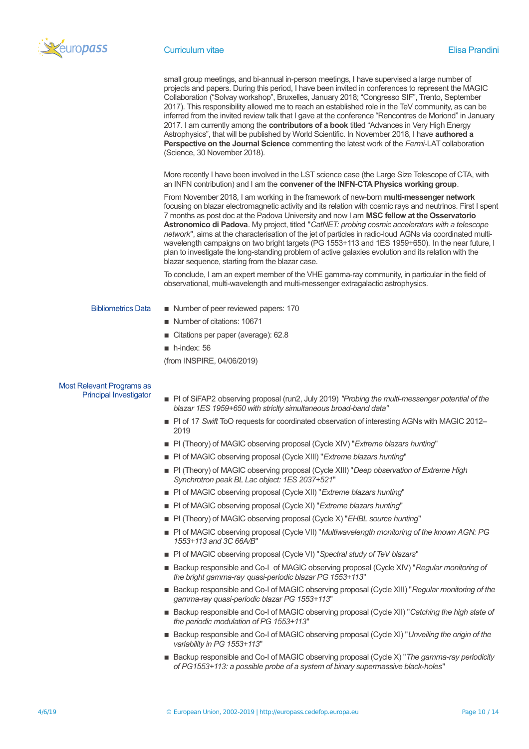

#### **Curriculum vitae Elisa Prandini** Curriculum vitae Elisa Prandini Curriculum vitae Elisa Prandini

small group meetings, and bi-annual in-person meetings, I have supervised a large number of projects and papers. During this period, I have been invited in conferences to represent the MAGIC Collaboration ("Solvay workshop", Bruxelles, January 2018; "Congresso SIF", Trento, September 2017). This responsibility allowed me to reach an established role in the TeV community, as can be inferred from the invited review talk that I gave at the conference "Rencontres de Moriond" in January 2017. I am currently among the **contributors of a book** titled "Advances in Very High Energy Astrophysics", that will be published by World Scientific. In November 2018, I have **authored a Perspective on the Journal Science** commenting the latest work of the *Fermi*-LAT collaboration (Science, 30 November 2018).

More recently I have been involved in the LST science case (the Large Size Telescope of CTA, with an INFN contribution) and I am the **convener of the INFN-CTA Physics working group**.

From November 2018, I am working in the framework of new-born **multi-messenger network** focusing on blazar electromagnetic activity and its relation with cosmic rays and neutrinos. First I spent 7 months as post doc at the Padova University and now I am **MSC fellow at the Osservatorio Astronomico di Padova**. My project, titled "*CatNET: probing cosmic accelerators with a telescope network*", aims at the characterisation of the jet of particles in radio-loud AGNs via coordinated multiwavelength campaigns on two bright targets (PG 1553+113 and 1ES 1959+650). In the near future, I plan to investigate the long-standing problem of active galaxies evolution and its relation with the blazar sequence, starting from the blazar case.

To conclude, I am an expert member of the VHE gamma-ray community, in particular in the field of observational, multi-wavelength and multi-messenger extragalactic astrophysics.

- Bibliometrics Data **Exercise Exercise** Number of peer reviewed papers: 170
	- Number of citations: 10671
	- Citations per paper (average): 62.8
	- $\blacksquare$  h-index: 56

(from INSPIRE, 04/06/2019)

# Most Relevant Programs as<br>Principal Investigator

- **P** PI of SiFAP2 observing proposal (run2, July 2019) *"Probing the multi-messenger potential of the blazar 1ES 1959+650 with striclty simultaneous broad-band data"*
- PI of 17 *Swift* ToO requests for coordinated observation of interesting AGNs with MAGIC 2012– 2019
- PI (Theory) of MAGIC observing proposal (Cycle XIV) "*Extreme blazars hunting*"
- PI of MAGIC observing proposal (Cycle XIII) "*Extreme blazars hunting*"
- PI (Theory) of MAGIC observing proposal (Cycle XIII) "*Deep observation of Extreme High Synchrotron peak BL Lac object: 1ES 2037+521*"
- PI of MAGIC observing proposal (Cycle XII) "*Extreme blazars hunting*"
- PI of MAGIC observing proposal (Cycle XI) "*Extreme blazars hunting*"
- PI (Theory) of MAGIC observing proposal (Cycle X) "*EHBL source hunting*"
- PI of MAGIC observing proposal (Cycle VII) "*Multiwavelength monitoring of the known AGN: PG 1553+113 and 3C 66A/B*"
- PI of MAGIC observing proposal (Cycle VI) "*Spectral study of TeV blazars*"
- Backup responsible and Co-I of MAGIC observing proposal (Cycle XIV) "*Regular monitoring of the bright gamma-ray quasi-periodic blazar PG 1553+113*"
- Backup responsible and Co-I of MAGIC observing proposal (Cycle XIII) "*Regular monitoring of the gamma-ray quasi-periodic blazar PG 1553+113*"
- Backup responsible and Co-I of MAGIC observing proposal (Cycle XII) "Catching the high state of *the periodic modulation of PG 1553+113*"
- Backup responsible and Co-I of MAGIC observing proposal (Cycle XI) "*Unveiling the origin of the variability in PG 1553+113*"
- Backup responsible and Co-I of MAGIC observing proposal (Cycle X) "*The gamma-ray periodicity of PG1553+113: a possible probe of a system of binary supermassive black-holes*"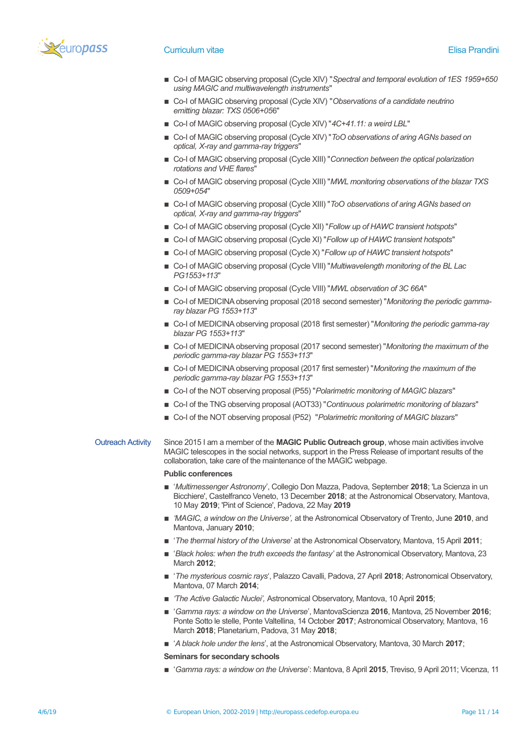

- Co-I of MAGIC observing proposal (Cycle XIV) "*Spectral and temporal evolution of 1ES 1959+650 using MAGIC and multiwavelength instruments*"
- Co-I of MAGIC observing proposal (Cycle XIV) "Observations of a candidate neutrino *emitting blazar: TXS 0506+05*6"
- Co-I of MAGIC observing proposal (Cycle XIV) "4C+41.11: a weird LBL"
- Co-I of MAGIC observing proposal (Cycle XIV) "*ToO observations of aring AGNs based on optical, X-ray and gamma-ray triggers*"
- Co-I of MAGIC observing proposal (Cycle XIII) "Connection between the optical polarization *rotations and VHE flares*"
- Co-I of MAGIC observing proposal (Cycle XIII) "*MWL monitoring observations of the blazar TXS 0509+054*"
- Co-I of MAGIC observing proposal (Cycle XIII) "*ToO observations of aring AGNs based on optical, X-ray and gamma-ray triggers*"
- Co-I of MAGIC observing proposal (Cycle XII) "*Follow up of HAWC transient hotspots*"
- Co-I of MAGIC observing proposal (Cycle XI) "Follow up of HAWC transient hotspots"
- Co-I of MAGIC observing proposal (Cycle X) "*Follow up of HAWC transient hotspots*"
- Co-I of MAGIC observing proposal (Cycle VIII) "*Multiwavelength monitoring of the BL Lac PG1553+113*"
- Co-I of MAGIC observing proposal (Cycle VIII) "*MWL observation of 3C 66A*"
- Co-I of MEDICINA observing proposal (2018 second semester) "Monitoring the periodic gamma*ray blazar PG 1553+113*"
- Co-I of MEDICINA observing proposal (2018 first semester) "*Monitoring the periodic gamma-ray blazar PG 1553+113*"
- Co-I of MEDICINA observing proposal (2017 second semester) "*Monitoring the maximum of the periodic gamma-ray blazar PG 1553+113*"
- Co-I of MEDICINA observing proposal (2017 first semester) "Monitoring the maximum of the *periodic gamma-ray blazar PG 1553+113*"
- Co-I of the NOT observing proposal (P55) "*Polarimetric monitoring of MAGIC blazars*"
- Co-I of the TNG observing proposal (AOT33) "*Continuous polarimetric monitoring of blazars*"
- Co-I of the NOT observing proposal (P52) "Polarimetric monitoring of MAGIC blazars"

### Outreach Activity Since 2015 I am a member of the **MAGIC Public Outreach group**, whose main activities involve MAGIC telescopes in the social networks, support in the Press Release of important results of the collaboration, take care of the maintenance of the MAGIC webpage.

#### **Public conferences**

- '*Multimessenger Astronomy*', Collegio Don Mazza, Padova, September **2018**; 'La Scienza in un Bicchiere', Castelfranco Veneto, 13 December **2018**; at the Astronomical Observatory, Mantova, 10 May **2019**; 'Pint of Science', Padova, 22 May **2019**
- 'MAGIC, a window on the Universe', at the Astronomical Observatory of Trento, June **2010**, and Mantova, January **2010**;
- '*The thermal history of the Universe*' at the Astronomical Observatory, Mantova, 15 April **2011**;
- '*Black holes: when the truth exceeds the fantasy'* at the Astronomical Observatory, Mantova, 23 March **2012**;
- '*The mysterious cosmic rays*', Palazzo Cavalli, Padova, 27 April **2018**; Astronomical Observatory, Mantova, 07 March **2014**;
- *'The Active Galactic Nuclei',* Astronomical Observatory, Mantova, 10 April **2015**;
- '*Gamma rays: a window on the Universe*', MantovaScienza **2016**, Mantova, 25 November **2016**; Ponte Sotto le stelle, Ponte Valtellina, 14 October **2017**; Astronomical Observatory, Mantova, 16 March **2018**; Planetarium, Padova, 31 May **2018**;
- '*A black hole under the lens*', at the Astronomical Observatory, Mantova, 30 March **2017**;
- **Seminars for secondary schools**
- '*Gamma rays: a window on the Universe*': Mantova, 8 April **2015**, Treviso, 9 April 2011; Vicenza, 11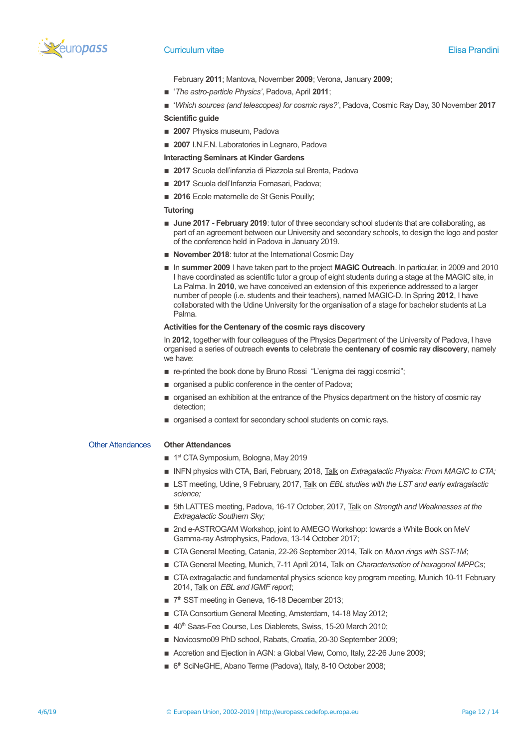

February **2011**; Mantova, November **2009**; Verona, January **2009**;

- '*The astro-particle Physics'*, Padova, April **2011**;
- '*Which sources (and telescopes) for cosmic rays?*', Padova, Cosmic Ray Day, 30 November **2017**

### **Scientific guide**

- **2007** Physics museum, Padova
- 2007 I.N.F.N. Laboratories in Legnaro, Padova

### **Interacting Seminars at Kinder Gardens**

- 2017 Scuola dell'infanzia di Piazzola sul Brenta, Padova
- 2017 Scuola dell'Infanzia Fornasari, Padova;
- 2016 Ecole maternelle de St Genis Pouilly;

#### **Tutoring**

- **June 2017 February 2019**: tutor of three secondary school students that are collaborating, as part of an agreement between our University and secondary schools, to design the logo and poster of the conference held in Padova in January 2019.
- **E** November 2018: tutor at the International Cosmic Day
- **In summer 2009** I have taken part to the project MAGIC Outreach. In particular, in 2009 and 2010 I have coordinated as scientific tutor a group of eight students during a stage at the MAGIC site, in La Palma. In **2010**, we have conceived an extension of this experience addressed to a larger number of people (i.e. students and their teachers), named MAGIC-D. In Spring **2012**, I have collaborated with the Udine University for the organisation of a stage for bachelor students at La Palma.

### **Activities for the Centenary of the cosmic rays discovery**

In **2012**, together with four colleagues of the Physics Department of the University of Padova, I have organised a series of outreach **events** to celebrate the **centenary of cosmic ray discovery**, namely we have:

- re-printed the book done by Bruno Rossi "L'enigma dei raggi cosmici";
- $\blacksquare$  organised a public conference in the center of Padova;
- $\blacksquare$  organised an exhibition at the entrance of the Physics department on the history of cosmic ray detection;
- organised a context for secondary school students on comic rays.

### Other Attendances **Other Attendances**

- 1<sup>st</sup> CTA Symposium, Bologna, May 2019
- INFN physics with CTA, Bari, February, 2018, Talk on *Extragalactic Physics: From MAGIC to CTA;*
- LST meeting, Udine, 9 February, 2017, Talk on *EBL studies with the LST and early extragalactic science;*
- **5th LATTES meeting, Padova, 16-17 October, 2017, Talk on Strength and Weaknesses at the** *Extragalactic Southern Sky;*
- 2nd e-ASTROGAM Workshop, joint to AMEGO Workshop: towards a White Book on MeV Gamma-ray Astrophysics, Padova, 13-14 October 2017;
- CTA General Meeting, Catania, 22-26 September 2014, Talk on *Muon rings with SST-1M*;
- **EXTA General Meeting, Munich, 7-11 April 2014, Talk on** *Characterisation of hexagonal MPPCs***;**
- **THE CTA extragalactic and fundamental physics science key program meeting, Munich 10-11 February** 2014, Talk on *EBL and IGMF report*;
- 7<sup>th</sup> SST meeting in Geneva, 16-18 December 2013;
- CTA Consortium General Meeting, Amsterdam, 14-18 May 2012;
- 40<sup>th</sup> Saas-Fee Course, Les Diablerets, Swiss, 15-20 March 2010;
- Novicosmo09 PhD school, Rabats, Croatia, 20-30 September 2009;
- Accretion and Ejection in AGN: a Global View, Como, Italy, 22-26 June 2009;
- 6<sup>th</sup> SciNeGHE, Abano Terme (Padova), Italy, 8-10 October 2008;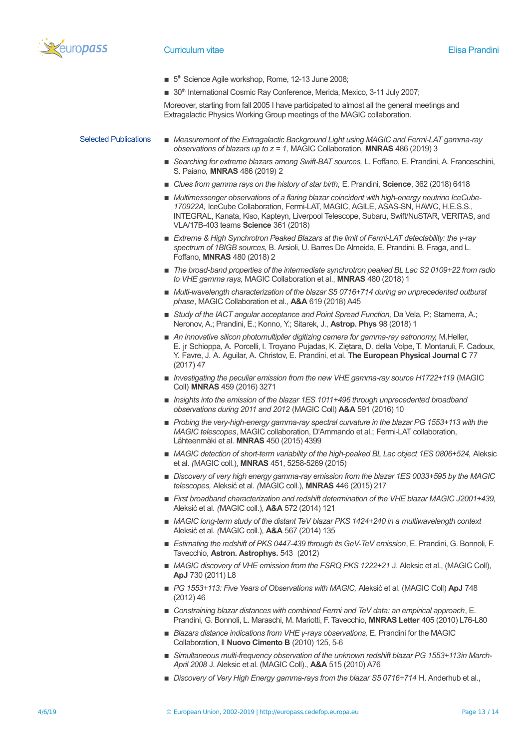

- 5<sup>th</sup> Science Agile workshop, Rome, 12-13 June 2008;
- 30<sup>th</sup> International Cosmic Ray Conference, Merida, Mexico, 3-11 July 2007;

Moreover, starting from fall 2005 I have participated to almost all the general meetings and Extragalactic Physics Working Group meetings of the MAGIC collaboration.

- Selected Publications **■** *Measurement of the Extragalactic Background Light using MAGIC and Fermi-LAT gamma-ray observations of blazars up to z = 1,* MAGIC Collaboration, **MNRAS** 486 (2019) 3
	- **E** Searching for extreme blazars among Swift-BAT sources, L. Foffano, E. Prandini, A. Franceschini, S. Paiano, **MNRAS** 486 (2019) 2
	- *Clues from gamma rays on the history of star birth,* E. Prandini, **Science**, 362 (2018) 6418
	- *Multimessenger observations of a flaring blazar coincident with high-energy neutrino IceCube-170922A,* IceCube Collaboration, Fermi-LAT, MAGIC, AGILE, ASAS-SN, HAWC, H.E.S.S., INTEGRAL, Kanata, Kiso, Kapteyn, Liverpool Telescope, Subaru, Swift/NuSTAR, VERITAS, and VLA/17B-403 teams **Science** 361 (2018)
	- *Extreme & High Synchrotron Peaked Blazars at the limit of Fermi-LAT detectability: the γ-ray spectrum of 1BIGB sources,* B. Arsioli, U. Barres De Almeida, E. Prandini, B. Fraga, and L. Foffano, **MNRAS** 480 (2018) 2
	- *The broad-band properties of the intermediate synchrotron peaked BL Lac S2 0109+22 from radio to VHE gamma rays,* MAGIC Collaboration et al., **MNRAS** 480 (2018) 1
	- *Multi-wavelength characterization of the blazar S5 0716+714 during an unprecedented outburst phase*, MAGIC Collaboration et al., **A&A** 619 (2018) A45
	- **Example 3 In all of the IACT angular acceptance and Point Spread Function, Da Vela, P.; Stamerra, A.;** Neronov, A.; Prandini, E.; Konno, Y.; Sitarek, J., **Astrop. Phys** 98 (2018) 1
	- **An innovative silicon photomultiplier digitizing camera for gamma-ray astronomy, M.Heller,** E. jr Schioppa, A. Porcelli, I. Troyano Pujadas, K. Zietara, D. della Volpe, T. Montaruli, F. Cadoux, Y. Favre, J. A. Aguilar, A. Christov, E. Prandini, et al. **The European Physical Journal C** 77 (2017) 47
	- *Investigating the peculiar emission from the new VHE gamma-ray source H1722+119* (MAGIC Coll) **MNRAS** 459 (2016) 3271
	- *Insights into the emission of the blazar 1ES 1011+496 through unprecedented broadband observations during 2011 and 2012* (MAGIC Coll) **A&A** 591 (2016) 10
	- *Probing the very-high-energy gamma-ray spectral curvature in the blazar PG 1553+113 with the MAGIC telescopes*, MAGIC collaboration, D'Ammando et al.; Fermi-LAT collaboration, Lähteenmäki et al. **MNRAS** 450 (2015) 4399
	- *MAGIC detection of short-term variability of the high-peaked BL Lac object 1ES 0806+524, Aleksic* et al. *(*MAGIC coll.), **MNRAS** 451, 5258-5269 (2015)
	- *Discovery of very high energy gamma-ray emission from the blazar 1ES 0033+595 by the MAGIC telescopes,* Aleksić et al. *(*MAGIC coll.), **MNRAS** 446 (2015) 217
	- *First broadband characterization and redshift determination of the VHE blazar MAGIC J2001+439*, Aleksić et al. *(*MAGIC coll.), **A&A** 572 (2014) 121
	- *MAGIC long-term study of the distant TeV blazar PKS 1424+240 in a multiwavelength context* Aleksić et al. *(*MAGIC coll.), **A&A** 567 (2014) 135
	- **Estimating the redshift of PKS 0447-439 through its GeV-TeV emission, E. Prandini, G. Bonnoli, F.** Tavecchio, **Astron. Astrophys.** 543 (2012)
	- *MAGIC discovery of VHE emission from the FSRQ PKS 1222+21 J.* Aleksic et al., (MAGIC Coll), **ApJ** 730 (2011) L8
	- *PG 1553+113: Five Years of Observations with MAGIC, Aleksić et al. (MAGIC Coll) ApJ 748* (2012) 46
	- *Constraining blazar distances with combined Fermi and TeV data: an empirical approach*, E. Prandini, G. Bonnoli, L. Maraschi, M. Mariotti, F. Tavecchio, **MNRAS Letter** 405 (2010) L76-L80
	- *Blazars distance indications from VHE γ-rays observations, E. Prandini for the MAGIC* Collaboration, Il **Nuovo Cimento B** (2010) 125, 5-6
	- Simultaneous multi-frequency observation of the unknown redshift blazar PG 1553+113in March-*April 2008* J. Aleksic et al. (MAGIC Coll)., **A&A** 515 (2010) A76
	- *Discovery of Very High Energy gamma-rays from the blazar S5 0716+714 H.* Anderhub et al.,